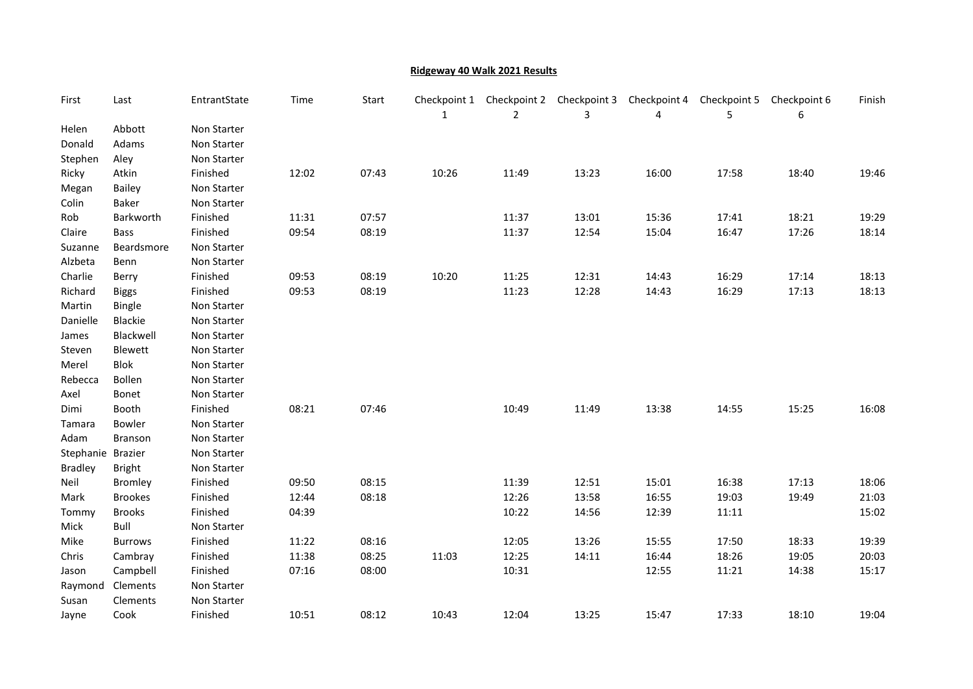## Ridgeway 40 Walk 2021 Results

| First             | Last           | EntrantState | Time  | Start | Checkpoint 1<br>1 | Checkpoint 2<br>2 | Checkpoint 3<br>3 | Checkpoint 4<br>4 | Checkpoint 5<br>5 | Checkpoint 6<br>6 | Finish |
|-------------------|----------------|--------------|-------|-------|-------------------|-------------------|-------------------|-------------------|-------------------|-------------------|--------|
| Helen             | Abbott         | Non Starter  |       |       |                   |                   |                   |                   |                   |                   |        |
| Donald            | Adams          | Non Starter  |       |       |                   |                   |                   |                   |                   |                   |        |
| Stephen           | Aley           | Non Starter  |       |       |                   |                   |                   |                   |                   |                   |        |
| Ricky             | Atkin          | Finished     | 12:02 | 07:43 | 10:26             | 11:49             | 13:23             | 16:00             | 17:58             | 18:40             | 19:46  |
| Megan             | <b>Bailey</b>  | Non Starter  |       |       |                   |                   |                   |                   |                   |                   |        |
| Colin             | Baker          | Non Starter  |       |       |                   |                   |                   |                   |                   |                   |        |
| Rob               | Barkworth      | Finished     | 11:31 | 07:57 |                   | 11:37             | 13:01             | 15:36             | 17:41             | 18:21             | 19:29  |
| Claire            | Bass           | Finished     | 09:54 | 08:19 |                   | 11:37             | 12:54             | 15:04             | 16:47             | 17:26             | 18:14  |
| Suzanne           | Beardsmore     | Non Starter  |       |       |                   |                   |                   |                   |                   |                   |        |
| Alzbeta           | Benn           | Non Starter  |       |       |                   |                   |                   |                   |                   |                   |        |
| Charlie           | Berry          | Finished     | 09:53 | 08:19 | 10:20             | 11:25             | 12:31             | 14:43             | 16:29             | 17:14             | 18:13  |
| Richard           | <b>Biggs</b>   | Finished     | 09:53 | 08:19 |                   | 11:23             | 12:28             | 14:43             | 16:29             | 17:13             | 18:13  |
| Martin            | Bingle         | Non Starter  |       |       |                   |                   |                   |                   |                   |                   |        |
| Danielle          | Blackie        | Non Starter  |       |       |                   |                   |                   |                   |                   |                   |        |
| James             | Blackwell      | Non Starter  |       |       |                   |                   |                   |                   |                   |                   |        |
| Steven            | Blewett        | Non Starter  |       |       |                   |                   |                   |                   |                   |                   |        |
| Merel             | <b>Blok</b>    | Non Starter  |       |       |                   |                   |                   |                   |                   |                   |        |
| Rebecca           | Bollen         | Non Starter  |       |       |                   |                   |                   |                   |                   |                   |        |
| Axel              | Bonet          | Non Starter  |       |       |                   |                   |                   |                   |                   |                   |        |
| Dimi              | Booth          | Finished     | 08:21 | 07:46 |                   | 10:49             | 11:49             | 13:38             | 14:55             | 15:25             | 16:08  |
| Tamara            | Bowler         | Non Starter  |       |       |                   |                   |                   |                   |                   |                   |        |
| Adam              | Branson        | Non Starter  |       |       |                   |                   |                   |                   |                   |                   |        |
| Stephanie Brazier |                | Non Starter  |       |       |                   |                   |                   |                   |                   |                   |        |
| <b>Bradley</b>    | <b>Bright</b>  | Non Starter  |       |       |                   |                   |                   |                   |                   |                   |        |
| Neil              | Bromley        | Finished     | 09:50 | 08:15 |                   | 11:39             | 12:51             | 15:01             | 16:38             | 17:13             | 18:06  |
| Mark              | <b>Brookes</b> | Finished     | 12:44 | 08:18 |                   | 12:26             | 13:58             | 16:55             | 19:03             | 19:49             | 21:03  |
| Tommy             | <b>Brooks</b>  | Finished     | 04:39 |       |                   | 10:22             | 14:56             | 12:39             | 11:11             |                   | 15:02  |
| Mick              | Bull           | Non Starter  |       |       |                   |                   |                   |                   |                   |                   |        |
| Mike              | <b>Burrows</b> | Finished     | 11:22 | 08:16 |                   | 12:05             | 13:26             | 15:55             | 17:50             | 18:33             | 19:39  |
| Chris             | Cambray        | Finished     | 11:38 | 08:25 | 11:03             | 12:25             | 14:11             | 16:44             | 18:26             | 19:05             | 20:03  |
| Jason             | Campbell       | Finished     | 07:16 | 08:00 |                   | 10:31             |                   | 12:55             | 11:21             | 14:38             | 15:17  |
| Raymond           | Clements       | Non Starter  |       |       |                   |                   |                   |                   |                   |                   |        |
| Susan             | Clements       | Non Starter  |       |       |                   |                   |                   |                   |                   |                   |        |
| Jayne             | Cook           | Finished     | 10:51 | 08:12 | 10:43             | 12:04             | 13:25             | 15:47             | 17:33             | 18:10             | 19:04  |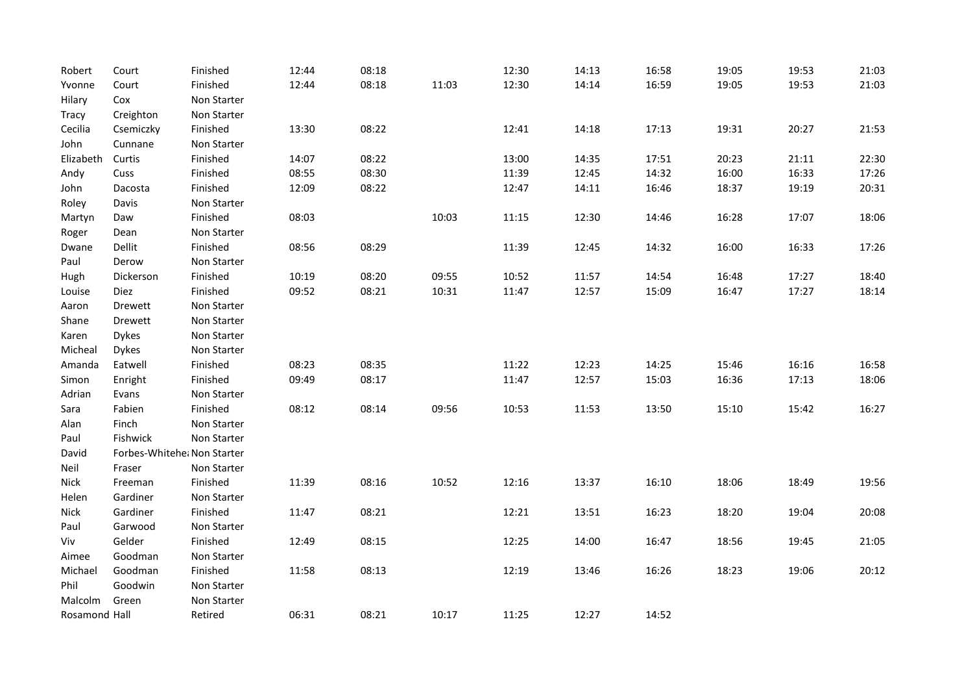| Robert        | Court                       | Finished    | 12:44 | 08:18 |       | 12:30 | 14:13 | 16:58 | 19:05 | 19:53 | 21:03 |
|---------------|-----------------------------|-------------|-------|-------|-------|-------|-------|-------|-------|-------|-------|
| Yvonne        | Court                       | Finished    | 12:44 | 08:18 | 11:03 | 12:30 | 14:14 | 16:59 | 19:05 | 19:53 | 21:03 |
| Hilary        | Cox                         | Non Starter |       |       |       |       |       |       |       |       |       |
| Tracy         | Creighton                   | Non Starter |       |       |       |       |       |       |       |       |       |
| Cecilia       | Csemiczky                   | Finished    | 13:30 | 08:22 |       | 12:41 | 14:18 | 17:13 | 19:31 | 20:27 | 21:53 |
| John          | Cunnane                     | Non Starter |       |       |       |       |       |       |       |       |       |
| Elizabeth     | Curtis                      | Finished    | 14:07 | 08:22 |       | 13:00 | 14:35 | 17:51 | 20:23 | 21:11 | 22:30 |
| Andy          | Cuss                        | Finished    | 08:55 | 08:30 |       | 11:39 | 12:45 | 14:32 | 16:00 | 16:33 | 17:26 |
| John          | Dacosta                     | Finished    | 12:09 | 08:22 |       | 12:47 | 14:11 | 16:46 | 18:37 | 19:19 | 20:31 |
| Roley         | Davis                       | Non Starter |       |       |       |       |       |       |       |       |       |
| Martyn        | Daw                         | Finished    | 08:03 |       | 10:03 | 11:15 | 12:30 | 14:46 | 16:28 | 17:07 | 18:06 |
| Roger         | Dean                        | Non Starter |       |       |       |       |       |       |       |       |       |
| Dwane         | Dellit                      | Finished    | 08:56 | 08:29 |       | 11:39 | 12:45 | 14:32 | 16:00 | 16:33 | 17:26 |
| Paul          | Derow                       | Non Starter |       |       |       |       |       |       |       |       |       |
| Hugh          | Dickerson                   | Finished    | 10:19 | 08:20 | 09:55 | 10:52 | 11:57 | 14:54 | 16:48 | 17:27 | 18:40 |
| Louise        | Diez                        | Finished    | 09:52 | 08:21 | 10:31 | 11:47 | 12:57 | 15:09 | 16:47 | 17:27 | 18:14 |
| Aaron         | Drewett                     | Non Starter |       |       |       |       |       |       |       |       |       |
| Shane         | Drewett                     | Non Starter |       |       |       |       |       |       |       |       |       |
| Karen         | <b>Dykes</b>                | Non Starter |       |       |       |       |       |       |       |       |       |
| Micheal       | <b>Dykes</b>                | Non Starter |       |       |       |       |       |       |       |       |       |
| Amanda        | Eatwell                     | Finished    | 08:23 | 08:35 |       | 11:22 | 12:23 | 14:25 | 15:46 | 16:16 | 16:58 |
| Simon         | Enright                     | Finished    | 09:49 | 08:17 |       | 11:47 | 12:57 | 15:03 | 16:36 | 17:13 | 18:06 |
| Adrian        | Evans                       | Non Starter |       |       |       |       |       |       |       |       |       |
| Sara          | Fabien                      | Finished    | 08:12 | 08:14 | 09:56 | 10:53 | 11:53 | 13:50 | 15:10 | 15:42 | 16:27 |
| Alan          | Finch                       | Non Starter |       |       |       |       |       |       |       |       |       |
| Paul          | Fishwick                    | Non Starter |       |       |       |       |       |       |       |       |       |
| David         | Forbes-Whitehe، Non Starter |             |       |       |       |       |       |       |       |       |       |
| Neil          | Fraser                      | Non Starter |       |       |       |       |       |       |       |       |       |
| <b>Nick</b>   | Freeman                     | Finished    | 11:39 | 08:16 | 10:52 | 12:16 | 13:37 | 16:10 | 18:06 | 18:49 | 19:56 |
| Helen         | Gardiner                    | Non Starter |       |       |       |       |       |       |       |       |       |
| Nick          | Gardiner                    | Finished    | 11:47 | 08:21 |       | 12:21 | 13:51 | 16:23 | 18:20 | 19:04 | 20:08 |
| Paul          | Garwood                     | Non Starter |       |       |       |       |       |       |       |       |       |
| Viv           | Gelder                      | Finished    | 12:49 | 08:15 |       | 12:25 | 14:00 | 16:47 | 18:56 | 19:45 | 21:05 |
| Aimee         | Goodman                     | Non Starter |       |       |       |       |       |       |       |       |       |
| Michael       | Goodman                     | Finished    | 11:58 | 08:13 |       | 12:19 | 13:46 | 16:26 | 18:23 | 19:06 | 20:12 |
| Phil          | Goodwin                     | Non Starter |       |       |       |       |       |       |       |       |       |
| Malcolm       | Green                       | Non Starter |       |       |       |       |       |       |       |       |       |
| Rosamond Hall |                             | Retired     | 06:31 | 08:21 | 10:17 | 11:25 | 12:27 | 14:52 |       |       |       |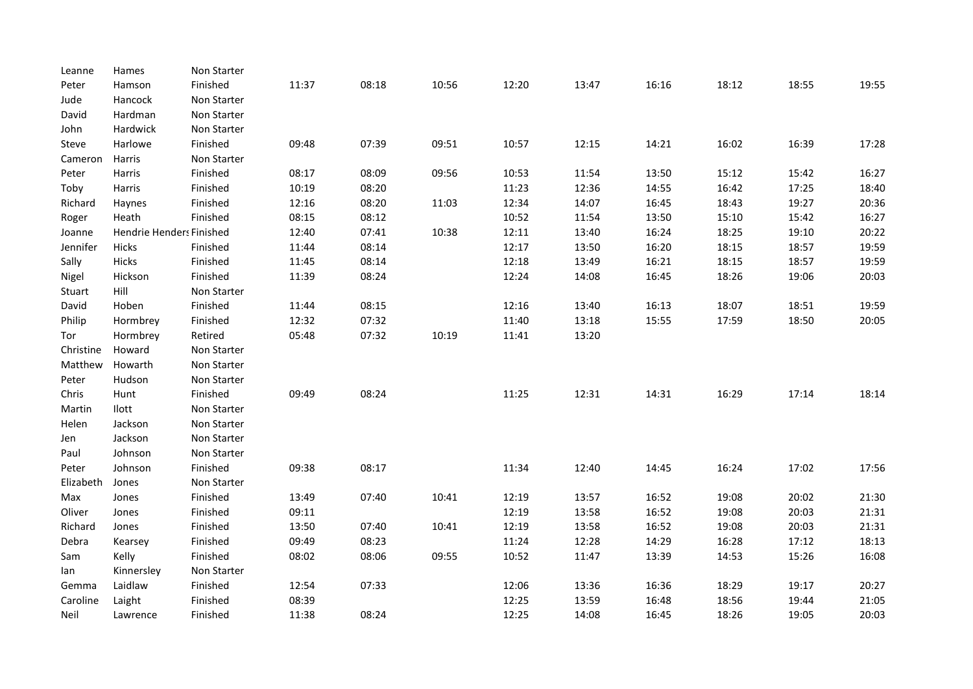| Hamson<br>Hancock | Finished<br>Non Starter | 11:37                    | 08:18 | 10:56 | 12:20 | 13:47 | 16:16 | 18:12 | 18:55 | 19:55 |
|-------------------|-------------------------|--------------------------|-------|-------|-------|-------|-------|-------|-------|-------|
|                   |                         |                          |       |       |       |       |       |       |       |       |
|                   |                         |                          |       |       |       |       |       |       |       |       |
| Hardman           | Non Starter             |                          |       |       |       |       |       |       |       |       |
| Hardwick          | Non Starter             |                          |       |       |       |       |       |       |       |       |
| Harlowe           | Finished                | 09:48                    | 07:39 | 09:51 | 10:57 | 12:15 | 14:21 | 16:02 | 16:39 | 17:28 |
| Harris            | Non Starter             |                          |       |       |       |       |       |       |       |       |
| Harris            | Finished                | 08:17                    | 08:09 | 09:56 | 10:53 | 11:54 | 13:50 | 15:12 | 15:42 | 16:27 |
| Harris            | Finished                | 10:19                    | 08:20 |       | 11:23 | 12:36 | 14:55 | 16:42 | 17:25 | 18:40 |
| Haynes            | Finished                | 12:16                    | 08:20 | 11:03 | 12:34 | 14:07 | 16:45 | 18:43 | 19:27 | 20:36 |
| Heath             | Finished                | 08:15                    | 08:12 |       | 10:52 | 11:54 | 13:50 | 15:10 | 15:42 | 16:27 |
|                   |                         | 12:40                    | 07:41 | 10:38 | 12:11 | 13:40 | 16:24 | 18:25 | 19:10 | 20:22 |
| Hicks             | Finished                | 11:44                    | 08:14 |       | 12:17 | 13:50 | 16:20 | 18:15 | 18:57 | 19:59 |
| Hicks             | Finished                | 11:45                    | 08:14 |       | 12:18 | 13:49 | 16:21 | 18:15 | 18:57 | 19:59 |
| Hickson           | Finished                | 11:39                    | 08:24 |       | 12:24 | 14:08 | 16:45 | 18:26 | 19:06 | 20:03 |
| Hill              | Non Starter             |                          |       |       |       |       |       |       |       |       |
| Hoben             | Finished                | 11:44                    | 08:15 |       | 12:16 | 13:40 | 16:13 | 18:07 | 18:51 | 19:59 |
| Hormbrey          | Finished                | 12:32                    | 07:32 |       | 11:40 | 13:18 | 15:55 | 17:59 | 18:50 | 20:05 |
| Hormbrey          | Retired                 | 05:48                    | 07:32 | 10:19 | 11:41 | 13:20 |       |       |       |       |
| Howard            | Non Starter             |                          |       |       |       |       |       |       |       |       |
| Howarth           | Non Starter             |                          |       |       |       |       |       |       |       |       |
| Hudson            | Non Starter             |                          |       |       |       |       |       |       |       |       |
| Hunt              | Finished                | 09:49                    | 08:24 |       | 11:25 | 12:31 | 14:31 | 16:29 | 17:14 | 18:14 |
| Ilott             | Non Starter             |                          |       |       |       |       |       |       |       |       |
| Jackson           | Non Starter             |                          |       |       |       |       |       |       |       |       |
| Jackson           | Non Starter             |                          |       |       |       |       |       |       |       |       |
| Johnson           | Non Starter             |                          |       |       |       |       |       |       |       |       |
| Johnson           | Finished                | 09:38                    | 08:17 |       | 11:34 | 12:40 | 14:45 | 16:24 | 17:02 | 17:56 |
| Jones             | Non Starter             |                          |       |       |       |       |       |       |       |       |
| Jones             | Finished                | 13:49                    | 07:40 | 10:41 | 12:19 | 13:57 | 16:52 | 19:08 | 20:02 | 21:30 |
| Jones             | Finished                | 09:11                    |       |       | 12:19 | 13:58 | 16:52 | 19:08 | 20:03 | 21:31 |
| Jones             | Finished                | 13:50                    | 07:40 | 10:41 | 12:19 | 13:58 | 16:52 | 19:08 | 20:03 | 21:31 |
| Kearsey           | Finished                | 09:49                    | 08:23 |       | 11:24 | 12:28 | 14:29 | 16:28 | 17:12 | 18:13 |
| Kelly             | Finished                | 08:02                    | 08:06 | 09:55 | 10:52 | 11:47 | 13:39 | 14:53 | 15:26 | 16:08 |
| Kinnersley        | Non Starter             |                          |       |       |       |       |       |       |       |       |
| Laidlaw           | Finished                | 12:54                    | 07:33 |       | 12:06 | 13:36 | 16:36 | 18:29 | 19:17 | 20:27 |
|                   |                         |                          |       |       |       |       |       |       |       |       |
| Laight            | Finished                | 08:39                    |       |       | 12:25 | 13:59 | 16:48 | 18:56 | 19:44 | 21:05 |
|                   |                         | Hendrie Henders Finished |       |       |       |       |       |       |       |       |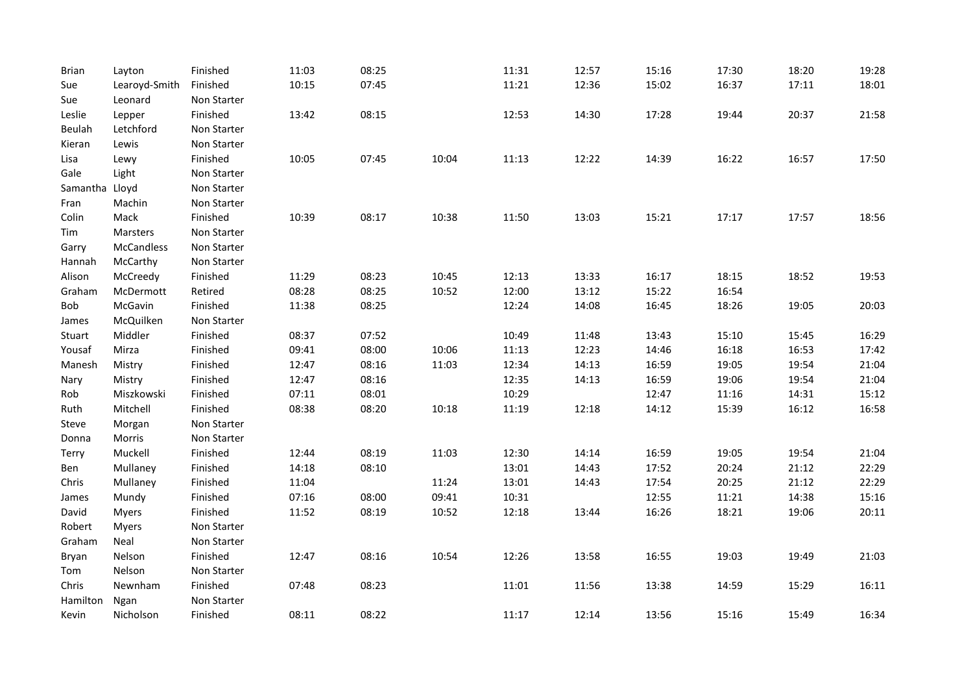| <b>Brian</b>   | Layton            | Finished    | 11:03 | 08:25 |       | 11:31 | 12:57 | 15:16 | 17:30 | 18:20 | 19:28 |
|----------------|-------------------|-------------|-------|-------|-------|-------|-------|-------|-------|-------|-------|
| Sue            | Learoyd-Smith     | Finished    | 10:15 | 07:45 |       | 11:21 | 12:36 | 15:02 | 16:37 | 17:11 | 18:01 |
| Sue            | Leonard           | Non Starter |       |       |       |       |       |       |       |       |       |
| Leslie         | Lepper            | Finished    | 13:42 | 08:15 |       | 12:53 | 14:30 | 17:28 | 19:44 | 20:37 | 21:58 |
| Beulah         | Letchford         | Non Starter |       |       |       |       |       |       |       |       |       |
| Kieran         | Lewis             | Non Starter |       |       |       |       |       |       |       |       |       |
| Lisa           | Lewy              | Finished    | 10:05 | 07:45 | 10:04 | 11:13 | 12:22 | 14:39 | 16:22 | 16:57 | 17:50 |
| Gale           | Light             | Non Starter |       |       |       |       |       |       |       |       |       |
| Samantha Lloyd |                   | Non Starter |       |       |       |       |       |       |       |       |       |
| Fran           | Machin            | Non Starter |       |       |       |       |       |       |       |       |       |
| Colin          | Mack              | Finished    | 10:39 | 08:17 | 10:38 | 11:50 | 13:03 | 15:21 | 17:17 | 17:57 | 18:56 |
| Tim            | Marsters          | Non Starter |       |       |       |       |       |       |       |       |       |
| Garry          | <b>McCandless</b> | Non Starter |       |       |       |       |       |       |       |       |       |
| Hannah         | McCarthy          | Non Starter |       |       |       |       |       |       |       |       |       |
| Alison         | McCreedy          | Finished    | 11:29 | 08:23 | 10:45 | 12:13 | 13:33 | 16:17 | 18:15 | 18:52 | 19:53 |
| Graham         | McDermott         | Retired     | 08:28 | 08:25 | 10:52 | 12:00 | 13:12 | 15:22 | 16:54 |       |       |
| Bob            | McGavin           | Finished    | 11:38 | 08:25 |       | 12:24 | 14:08 | 16:45 | 18:26 | 19:05 | 20:03 |
| James          | McQuilken         | Non Starter |       |       |       |       |       |       |       |       |       |
| Stuart         | Middler           | Finished    | 08:37 | 07:52 |       | 10:49 | 11:48 | 13:43 | 15:10 | 15:45 | 16:29 |
| Yousaf         | Mirza             | Finished    | 09:41 | 08:00 | 10:06 | 11:13 | 12:23 | 14:46 | 16:18 | 16:53 | 17:42 |
| Manesh         | Mistry            | Finished    | 12:47 | 08:16 | 11:03 | 12:34 | 14:13 | 16:59 | 19:05 | 19:54 | 21:04 |
| Nary           | Mistry            | Finished    | 12:47 | 08:16 |       | 12:35 | 14:13 | 16:59 | 19:06 | 19:54 | 21:04 |
| Rob            | Miszkowski        | Finished    | 07:11 | 08:01 |       | 10:29 |       | 12:47 | 11:16 | 14:31 | 15:12 |
| Ruth           | Mitchell          | Finished    | 08:38 | 08:20 | 10:18 | 11:19 | 12:18 | 14:12 | 15:39 | 16:12 | 16:58 |
| Steve          | Morgan            | Non Starter |       |       |       |       |       |       |       |       |       |
| Donna          | Morris            | Non Starter |       |       |       |       |       |       |       |       |       |
| <b>Terry</b>   | Muckell           | Finished    | 12:44 | 08:19 | 11:03 | 12:30 | 14:14 | 16:59 | 19:05 | 19:54 | 21:04 |
| Ben            | Mullaney          | Finished    | 14:18 | 08:10 |       | 13:01 | 14:43 | 17:52 | 20:24 | 21:12 | 22:29 |
| Chris          | Mullaney          | Finished    | 11:04 |       | 11:24 | 13:01 | 14:43 | 17:54 | 20:25 | 21:12 | 22:29 |
| James          | Mundy             | Finished    | 07:16 | 08:00 | 09:41 | 10:31 |       | 12:55 | 11:21 | 14:38 | 15:16 |
| David          | <b>Myers</b>      | Finished    | 11:52 | 08:19 | 10:52 | 12:18 | 13:44 | 16:26 | 18:21 | 19:06 | 20:11 |
| Robert         | <b>Myers</b>      | Non Starter |       |       |       |       |       |       |       |       |       |
| Graham         | Neal              | Non Starter |       |       |       |       |       |       |       |       |       |
| Bryan          | Nelson            | Finished    | 12:47 | 08:16 | 10:54 | 12:26 | 13:58 | 16:55 | 19:03 | 19:49 | 21:03 |
| Tom            | Nelson            | Non Starter |       |       |       |       |       |       |       |       |       |
| Chris          | Newnham           | Finished    | 07:48 | 08:23 |       | 11:01 | 11:56 | 13:38 | 14:59 | 15:29 | 16:11 |
| Hamilton       | Ngan              | Non Starter |       |       |       |       |       |       |       |       |       |
| Kevin          | Nicholson         | Finished    | 08:11 | 08:22 |       | 11:17 | 12:14 | 13:56 | 15:16 | 15:49 | 16:34 |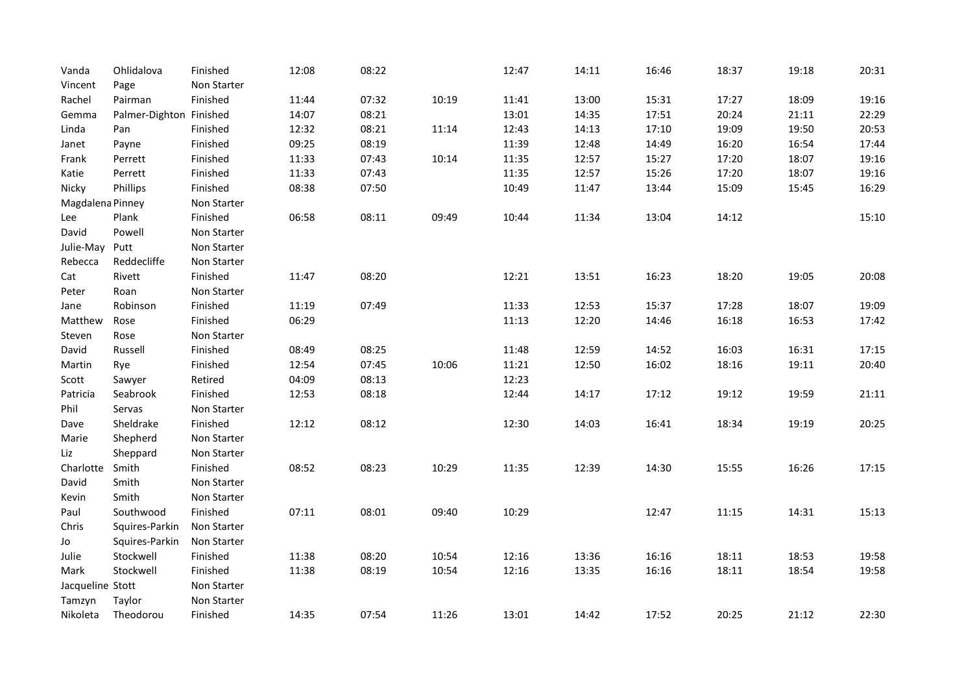| Vanda            | Ohlidalova              | Finished    | 12:08 | 08:22 |       | 12:47 | 14:11 | 16:46 | 18:37 | 19:18 | 20:31 |
|------------------|-------------------------|-------------|-------|-------|-------|-------|-------|-------|-------|-------|-------|
| Vincent          | Page                    | Non Starter |       |       |       |       |       |       |       |       |       |
| Rachel           | Pairman                 | Finished    | 11:44 | 07:32 | 10:19 | 11:41 | 13:00 | 15:31 | 17:27 | 18:09 | 19:16 |
| Gemma            | Palmer-Dighton Finished |             | 14:07 | 08:21 |       | 13:01 | 14:35 | 17:51 | 20:24 | 21:11 | 22:29 |
| Linda            | Pan                     | Finished    | 12:32 | 08:21 | 11:14 | 12:43 | 14:13 | 17:10 | 19:09 | 19:50 | 20:53 |
| Janet            | Payne                   | Finished    | 09:25 | 08:19 |       | 11:39 | 12:48 | 14:49 | 16:20 | 16:54 | 17:44 |
| Frank            | Perrett                 | Finished    | 11:33 | 07:43 | 10:14 | 11:35 | 12:57 | 15:27 | 17:20 | 18:07 | 19:16 |
| Katie            | Perrett                 | Finished    | 11:33 | 07:43 |       | 11:35 | 12:57 | 15:26 | 17:20 | 18:07 | 19:16 |
| Nicky            | Phillips                | Finished    | 08:38 | 07:50 |       | 10:49 | 11:47 | 13:44 | 15:09 | 15:45 | 16:29 |
| Magdalena Pinney |                         | Non Starter |       |       |       |       |       |       |       |       |       |
| Lee              | Plank                   | Finished    | 06:58 | 08:11 | 09:49 | 10:44 | 11:34 | 13:04 | 14:12 |       | 15:10 |
| David            | Powell                  | Non Starter |       |       |       |       |       |       |       |       |       |
| Julie-May        | Putt                    | Non Starter |       |       |       |       |       |       |       |       |       |
| Rebecca          | Reddecliffe             | Non Starter |       |       |       |       |       |       |       |       |       |
| Cat              | Rivett                  | Finished    | 11:47 | 08:20 |       | 12:21 | 13:51 | 16:23 | 18:20 | 19:05 | 20:08 |
| Peter            | Roan                    | Non Starter |       |       |       |       |       |       |       |       |       |
| Jane             | Robinson                | Finished    | 11:19 | 07:49 |       | 11:33 | 12:53 | 15:37 | 17:28 | 18:07 | 19:09 |
| Matthew          | Rose                    | Finished    | 06:29 |       |       | 11:13 | 12:20 | 14:46 | 16:18 | 16:53 | 17:42 |
| Steven           | Rose                    | Non Starter |       |       |       |       |       |       |       |       |       |
| David            | Russell                 | Finished    | 08:49 | 08:25 |       | 11:48 | 12:59 | 14:52 | 16:03 | 16:31 | 17:15 |
| Martin           | Rye                     | Finished    | 12:54 | 07:45 | 10:06 | 11:21 | 12:50 | 16:02 | 18:16 | 19:11 | 20:40 |
| Scott            | Sawyer                  | Retired     | 04:09 | 08:13 |       | 12:23 |       |       |       |       |       |
| Patricia         | Seabrook                | Finished    | 12:53 | 08:18 |       | 12:44 | 14:17 | 17:12 | 19:12 | 19:59 | 21:11 |
| Phil             | Servas                  | Non Starter |       |       |       |       |       |       |       |       |       |
| Dave             | Sheldrake               | Finished    | 12:12 | 08:12 |       | 12:30 | 14:03 | 16:41 | 18:34 | 19:19 | 20:25 |
| Marie            | Shepherd                | Non Starter |       |       |       |       |       |       |       |       |       |
| Liz              | Sheppard                | Non Starter |       |       |       |       |       |       |       |       |       |
| Charlotte        | Smith                   | Finished    | 08:52 | 08:23 | 10:29 | 11:35 | 12:39 | 14:30 | 15:55 | 16:26 | 17:15 |
| David            | Smith                   | Non Starter |       |       |       |       |       |       |       |       |       |
| Kevin            | Smith                   | Non Starter |       |       |       |       |       |       |       |       |       |
| Paul             | Southwood               | Finished    | 07:11 | 08:01 | 09:40 | 10:29 |       | 12:47 | 11:15 | 14:31 | 15:13 |
| Chris            | Squires-Parkin          | Non Starter |       |       |       |       |       |       |       |       |       |
| Jo               | Squires-Parkin          | Non Starter |       |       |       |       |       |       |       |       |       |
| Julie            | Stockwell               | Finished    | 11:38 | 08:20 | 10:54 | 12:16 | 13:36 | 16:16 | 18:11 | 18:53 | 19:58 |
| Mark             | Stockwell               | Finished    | 11:38 | 08:19 | 10:54 | 12:16 | 13:35 | 16:16 | 18:11 | 18:54 | 19:58 |
| Jacqueline Stott |                         | Non Starter |       |       |       |       |       |       |       |       |       |
| Tamzyn           | Taylor                  | Non Starter |       |       |       |       |       |       |       |       |       |
| Nikoleta         | Theodorou               | Finished    | 14:35 | 07:54 | 11:26 | 13:01 | 14:42 | 17:52 | 20:25 | 21:12 | 22:30 |
|                  |                         |             |       |       |       |       |       |       |       |       |       |